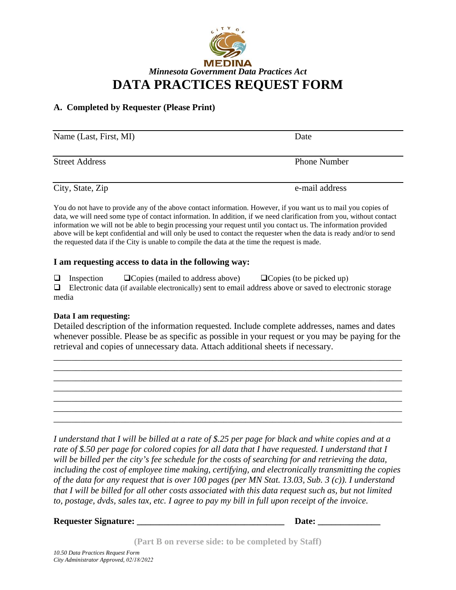

## **A. Completed by Requester (Please Print)**

| Name (Last, First, MI) | Date                |
|------------------------|---------------------|
| <b>Street Address</b>  | <b>Phone Number</b> |
| City, State, Zip       | e-mail address      |

You do not have to provide any of the above contact information. However, if you want us to mail you copies of data, we will need some type of contact information. In addition, if we need clarification from you, without contact information we will not be able to begin processing your request until you contact us. The information provided above will be kept confidential and will only be used to contact the requester when the data is ready and/or to send the requested data if the City is unable to compile the data at the time the request is made.

## **I am requesting access to data in the following way:**

 $\Box$  Inspection  $\Box$  Copies (mailed to address above)  $\Box$  Copies (to be picked up)  $\Box$  Electronic data (if available electronically) sent to email address above or saved to electronic storage media

## **Data I am requesting:**

Detailed description of the information requested. Include complete addresses, names and dates whenever possible. Please be as specific as possible in your request or you may be paying for the retrieval and copies of unnecessary data. Attach additional sheets if necessary.

\_\_\_\_\_\_\_\_\_\_\_\_\_\_\_\_\_\_\_\_\_\_\_\_\_\_\_\_\_\_\_\_\_\_\_\_\_\_\_\_\_\_\_\_\_\_\_\_\_\_\_\_\_\_\_\_\_\_\_\_\_\_\_\_\_\_\_\_\_\_\_\_\_\_\_\_\_\_ \_\_\_\_\_\_\_\_\_\_\_\_\_\_\_\_\_\_\_\_\_\_\_\_\_\_\_\_\_\_\_\_\_\_\_\_\_\_\_\_\_\_\_\_\_\_\_\_\_\_\_\_\_\_\_\_\_\_\_\_\_\_\_\_\_\_\_\_\_\_\_\_\_\_\_\_\_\_ \_\_\_\_\_\_\_\_\_\_\_\_\_\_\_\_\_\_\_\_\_\_\_\_\_\_\_\_\_\_\_\_\_\_\_\_\_\_\_\_\_\_\_\_\_\_\_\_\_\_\_\_\_\_\_\_\_\_\_\_\_\_\_\_\_\_\_\_\_\_\_\_\_\_\_\_\_\_ \_\_\_\_\_\_\_\_\_\_\_\_\_\_\_\_\_\_\_\_\_\_\_\_\_\_\_\_\_\_\_\_\_\_\_\_\_\_\_\_\_\_\_\_\_\_\_\_\_\_\_\_\_\_\_\_\_\_\_\_\_\_\_\_\_\_\_\_\_\_\_\_\_\_\_\_\_\_ \_\_\_\_\_\_\_\_\_\_\_\_\_\_\_\_\_\_\_\_\_\_\_\_\_\_\_\_\_\_\_\_\_\_\_\_\_\_\_\_\_\_\_\_\_\_\_\_\_\_\_\_\_\_\_\_\_\_\_\_\_\_\_\_\_\_\_\_\_\_\_\_\_\_\_\_\_\_ \_\_\_\_\_\_\_\_\_\_\_\_\_\_\_\_\_\_\_\_\_\_\_\_\_\_\_\_\_\_\_\_\_\_\_\_\_\_\_\_\_\_\_\_\_\_\_\_\_\_\_\_\_\_\_\_\_\_\_\_\_\_\_\_\_\_\_\_\_\_\_\_\_\_\_\_\_\_ \_\_\_\_\_\_\_\_\_\_\_\_\_\_\_\_\_\_\_\_\_\_\_\_\_\_\_\_\_\_\_\_\_\_\_\_\_\_\_\_\_\_\_\_\_\_\_\_\_\_\_\_\_\_\_\_\_\_\_\_\_\_\_\_\_\_\_\_\_\_\_\_\_\_\_\_\_\_

*I understand that I will be billed at a rate of \$.25 per page for black and white copies and at a rate of \$.50 per page for colored copies for all data that I have requested. I understand that I will be billed per the city's fee schedule for the costs of searching for and retrieving the data, including the cost of employee time making, certifying, and electronically transmitting the copies of the data for any request that is over 100 pages (per MN Stat. 13.03, Sub. 3 (c)). I understand that I will be billed for all other costs associated with this data request such as, but not limited to, postage, dvds, sales tax, etc. I agree to pay my bill in full upon receipt of the invoice.* 

## **Requester Signature:**  $\qquad \qquad$  **Date:**  $\qquad \qquad$

**(Part B on reverse side: to be completed by Staff)**